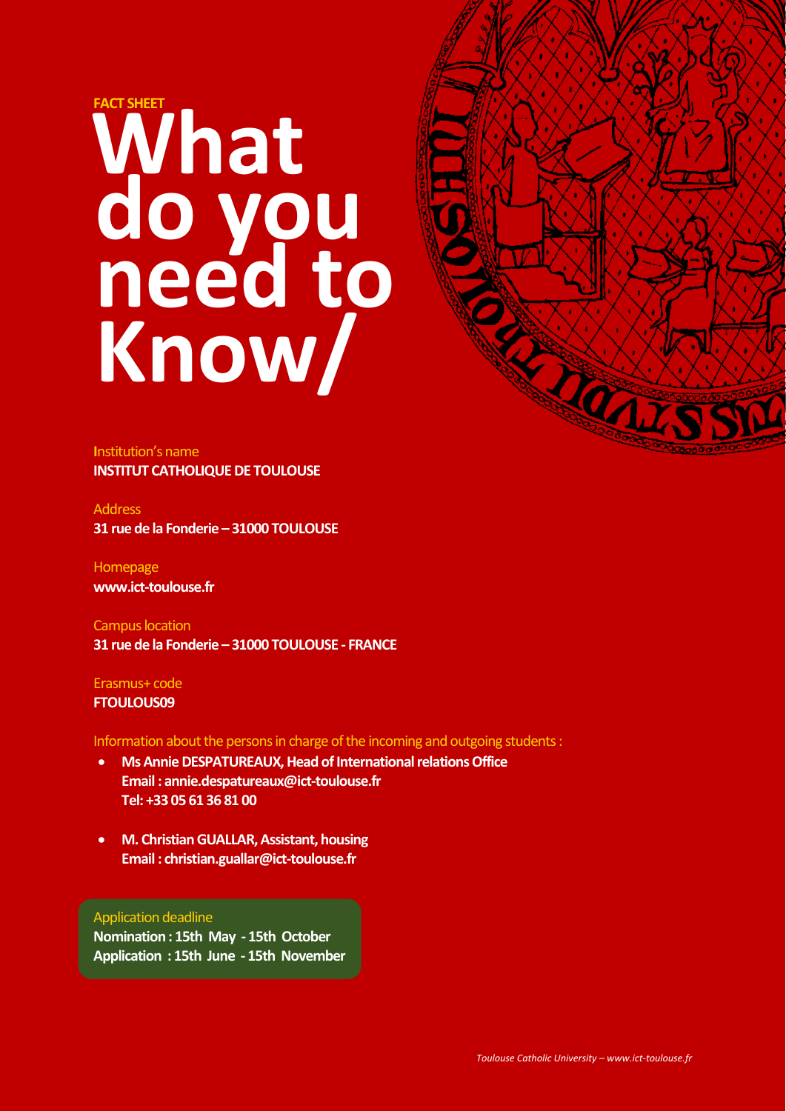## **FACT SHEET do you need to Know/ What**



**I**nstitution's name **INSTITUT CATHOLIQUE DE TOULOUSE** 

Address **31 rue de la Fonderie – 31000 TOULOUSE**

Homepage **www.ict-toulouse.fr**

Campus location **31 rue de la Fonderie – 31000 TOULOUSE - FRANCE**

Erasmus+ code **FTOULOUS09**

Information about the persons in charge of the incoming and outgoing students :

- **Ms Annie DESPATUREAUX, Head of International relations Office Email : annie.despatureaux@ict-toulouse.fr Tel: +33 05 61 36 81 00**
- **M. Christian GUALLAR, Assistant, housing Email : christian.guallar@ict-toulouse.fr**

#### Application deadline

**Nomination : 15th May - 15th October Application : 15th June - 15th November**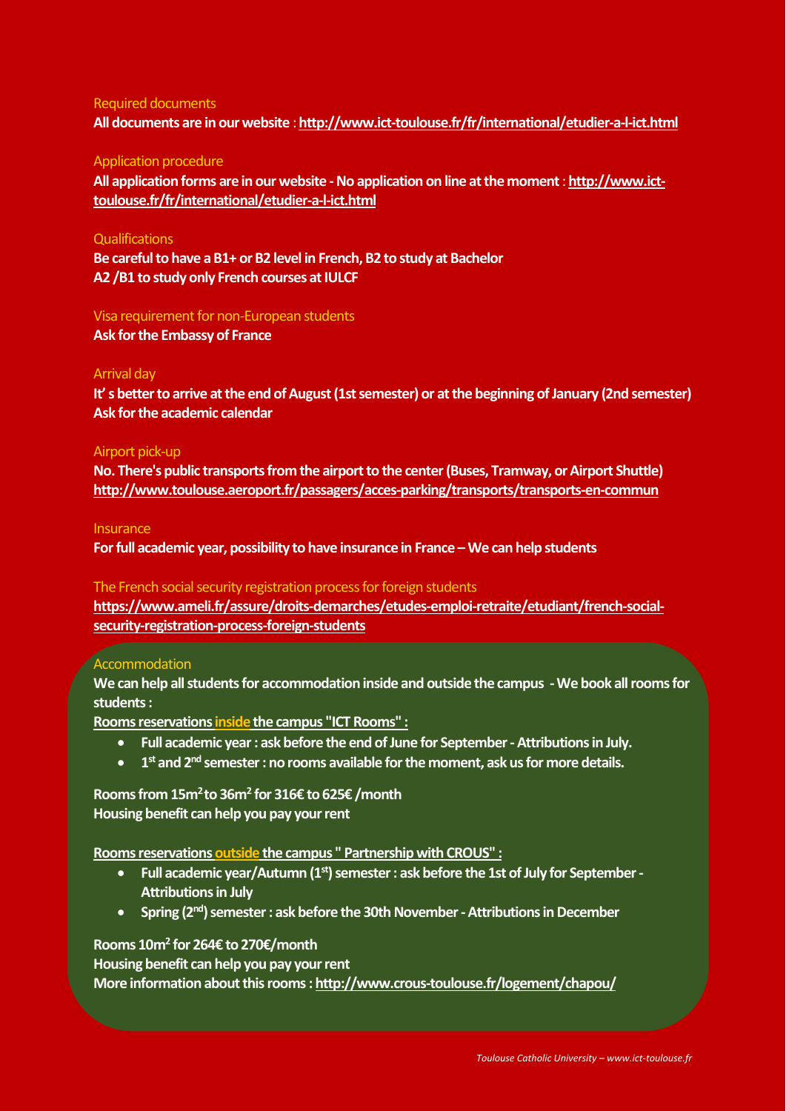#### Required documents **All documents are in our website** : **<http://www.ict-toulouse.fr/fr/international/etudier-a-l-ict.html>**

#### Application procedure

**All application forms are in our website -No application on line at the moment**: **[http://www.ict](http://www.ict-toulouse.fr/fr/international/etudier-a-l-ict.html)[toulouse.fr/fr/international/etudier-a-l-ict.html](http://www.ict-toulouse.fr/fr/international/etudier-a-l-ict.html)**

#### **Qualifications**

**Be careful to have a B1+ or B2 level in French, B2 to study at Bachelor A2 /B1 to study only French courses at IULCF**

#### Visa requirement for non-European students

**Ask for the Embassy of France**

#### Arrival day

**It' s better to arrive at the end of August (1st semester) or at the beginning of January (2nd semester) Ask for the academic calendar**

#### Airport pick-up

**No. There's public transports from the airport to the center (Buses, Tramway, or Airport Shuttle) <http://www.toulouse.aeroport.fr/passagers/acces-parking/transports/transports-en-commun>**

#### **Insurance**

**For full academic year, possibility to have insurance in France –We can help students**

#### The French social security registration process for foreign students

**[https://www.ameli.fr/assure/droits-demarches/etudes-emploi-retraite/etudiant/french-social](https://www.ameli.fr/assure/droits-demarches/etudes-emploi-retraite/etudiant/french-social-security-registration-process-foreign-students)[security-registration-process-foreign-students](https://www.ameli.fr/assure/droits-demarches/etudes-emploi-retraite/etudiant/french-social-security-registration-process-foreign-students)**

#### **Accommodation**

**We can help all students for accommodation inside and outside the campus -We book all rooms for students:**

**Rooms reservations inside the campus "ICT Rooms" :** 

- **Full academic year: ask before the end of June for September-Attributions in July.**
- **1 st and 2nd semester: no rooms available for the moment, ask us for more details.**

**Rooms from 15m<sup>2</sup>to 36m<sup>2</sup> for 316€ to 625€ /month Housing benefit can help you pay your rent** 

**Rooms reservations outside the campus " Partnership with CROUS" :** 

- **Full academic year/Autumn (1st) semester : ask before the 1st of July for September-Attributions in July**
- **Spring (2nd) semester: ask before the 30th November-Attributions in December**

#### **Rooms 10m<sup>2</sup> for 264€ to 270€/month**

**Housing benefit can help you pay your rent**

**More information about this rooms [: http://www.crous-toulouse.fr/logement/chapou/](http://www.crous-toulouse.fr/logement/chapou/)**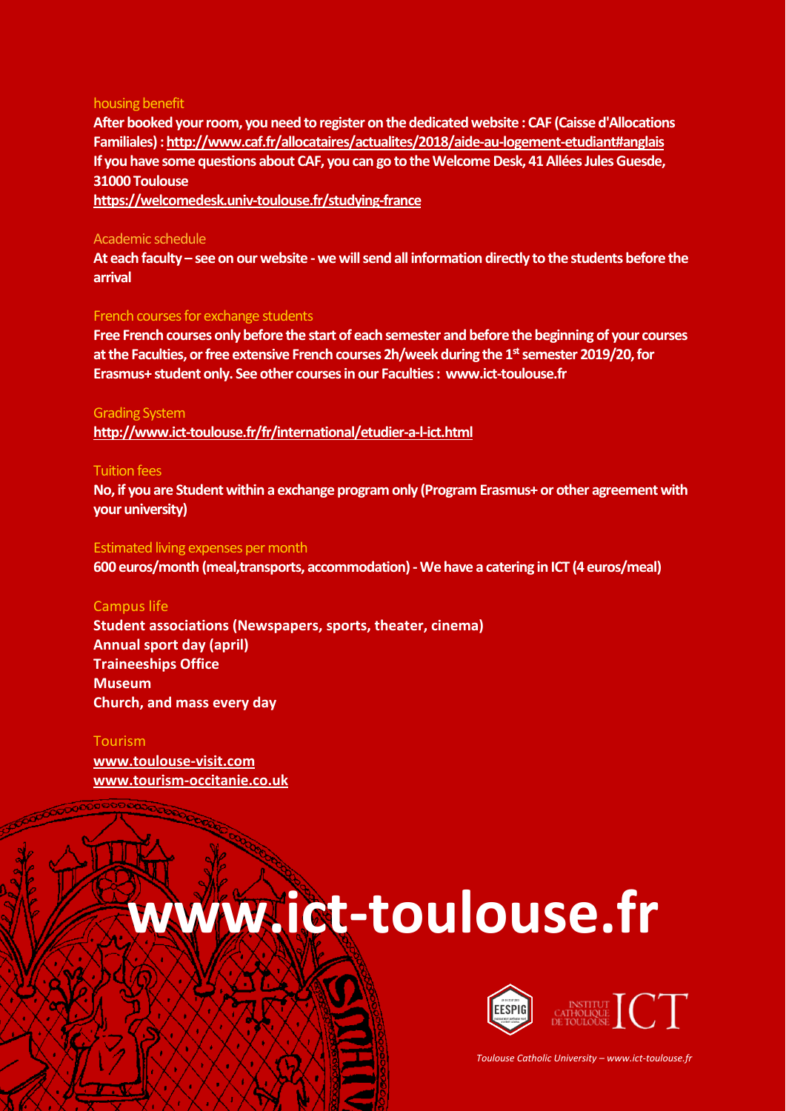#### housing benefit

**After booked your room, you need to register on the dedicated website : CAF (Caisse d'Allocations Familiales) [: http://www.caf.fr/allocataires/actualites/2018/aide-au-logement-etudiant#anglais](http://www.caf.fr/allocataires/actualites/2018/aide-au-logement-etudiant#anglais) If you have some questions about CAF, you can go to the Welcome Desk, 41 Allées Jules Guesde, 31000 Toulouse**

**<https://welcomedesk.univ-toulouse.fr/studying-france>**

#### Academic schedule

**At each faculty – see on our website -we will send all information directly to the students before the arrival**

#### French courses for exchange students

**Free French courses only before the start of each semester and before the beginning of your courses at the Faculties, or free extensive French courses 2h/week during the 1stsemester 2019/20, for Erasmus+ student only. See other courses in our Faculties: www.ict-toulouse.fr**

#### Grading System

**<http://www.ict-toulouse.fr/fr/international/etudier-a-l-ict.html>**

#### Tuition fees

No, if you are Student within a exchange program only (Program Erasmus+ or other agreement with **your university)**

#### Estimated living expenses per month

**600 euros/month (meal,transports, accommodation) -We have a catering in ICT (4 euros/meal)**

#### Campus life

**Student associations (Newspapers, sports, theater, cinema) Annual sport day (april) Traineeships Office Museum Church, and mass every day**

#### Tourism

**[www.toulouse-visit.com](http://www.toulouse-visit.com/) [www.tourism-occitanie.co.uk](http://www.tourism-occitanie.co.uk/)**

## **www.ict-toulouse.fr**



*Toulouse Catholic University – www.ict-toulouse.fr*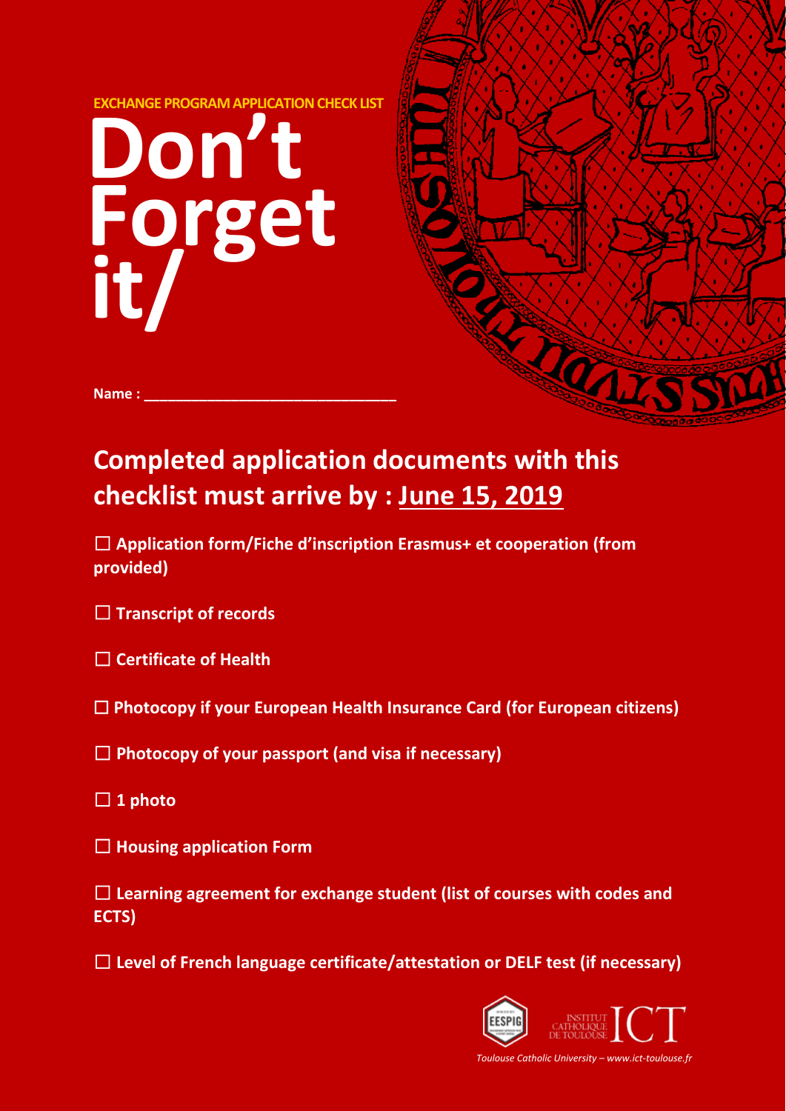



Name :

## **checklist must arrive by : June 15, 2019**

☐ **Application form/Fiche d'inscription Erasmus+ et cooperation (from provided)**

☐ **Transcript of records**

☐ **Certificate of Health**

☐ **Photocopy if your European Health Insurance Card (for European citizens)**

☐ **Photocopy of your passport (and visa if necessary)**

- ☐ **1 photo**
- ☐ **Housing application Form**

☐ **Learning agreement for exchange student (list of courses with codes and ECTS)**

☐ **Level of French language certificate/attestation or DELF test (if necessary)**



*Toulouse Catholic University – www.ict-toulouse.fr*